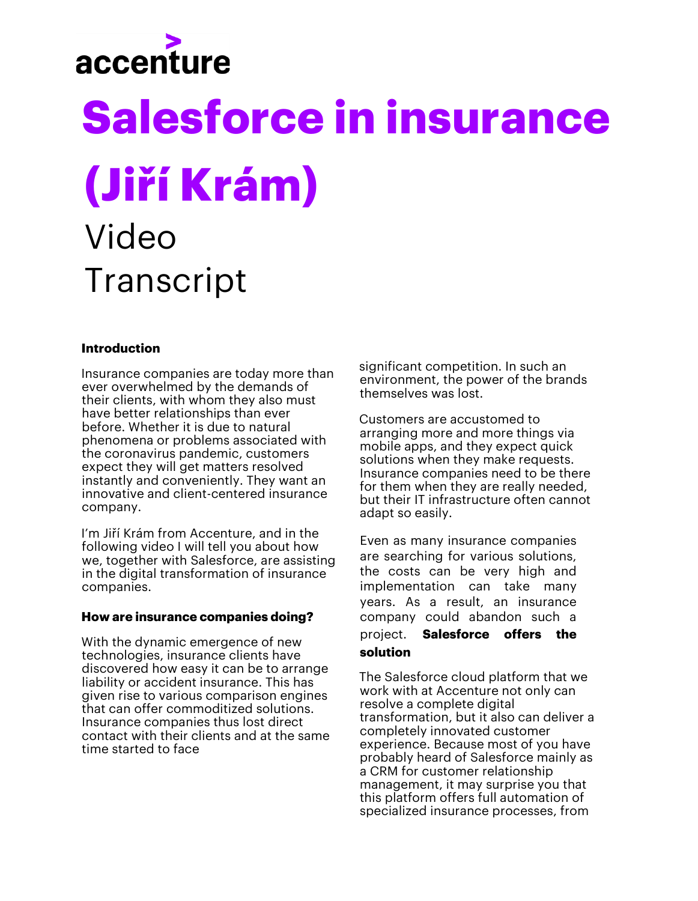# accenture

## **Salesforce in insurance (Jiří Krám)** Video **Transcript**

## **Introduction**

Insurance companies are today more than ever overwhelmed by the demands of their clients, with whom they also must have better relationships than ever before. Whether it is due to natural phenomena or problems associated with the coronavirus pandemic, customers expect they will get matters resolved instantly and conveniently. They want an innovative and client-centered insurance company.

I'm Jiří Krám from Accenture, and in the following video I will tell you about how we, together with Salesforce, are assisting in the digital transformation of insurance companies.

### **How are insurance companies doing?**

With the dynamic emergence of new technologies, insurance clients have discovered how easy it can be to arrange liability or accident insurance. This has given rise to various comparison engines that can offer commoditized solutions. Insurance companies thus lost direct contact with their clients and at the same time started to face

significant competition. In such an environment, the power of the brands themselves was lost.

Customers are accustomed to arranging more and more things via mobile apps, and they expect quick solutions when they make requests. Insurance companies need to be there for them when they are really needed, but their IT infrastructure often cannot adapt so easily.

Even as many insurance companies are searching for various solutions, the costs can be very high and implementation can take many years. As a result, an insurance company could abandon such a project. **Salesforce offers the solution**

The Salesforce cloud platform that we work with at Accenture not only can resolve a complete digital transformation, but it also can deliver a completely innovated customer experience. Because most of you have probably heard of Salesforce mainly as a CRM for customer relationship management, it may surprise you that this platform offers full automation of specialized insurance processes, from